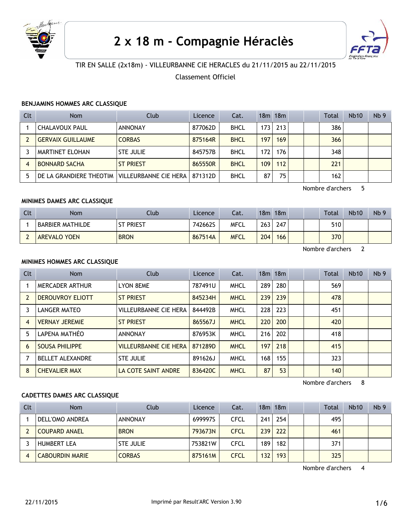

# 2 x 18 m - Compagnie Héraclès



# TIR EN SALLE (2x18m) - VILLEURBANNE CIE HERACLES du 21/11/2015 au 22/11/2015

Classement Officiel

# **BENJAMINS HOMMES ARC CLASSIQUE**

| Clt | <b>Nom</b>                                    | Club             | Licence | Cat.        |     | $18m$ 18 $m$ |  | Total | Nb10 | Nb <sub>9</sub> |
|-----|-----------------------------------------------|------------------|---------|-------------|-----|--------------|--|-------|------|-----------------|
|     | <b>CHALAVOUX PAUL</b>                         | ANNONAY          | 877062D | <b>BHCL</b> | 173 | 213          |  | 386   |      |                 |
|     | <b>GERVAIX GUILLAUME</b>                      | <b>CORBAS</b>    | 875164R | <b>BHCL</b> | 197 | 169          |  | 366   |      |                 |
|     | MARTINET ELOHAN                               | <b>STE JULIE</b> | 845757B | <b>BHCL</b> | 172 | 176          |  | 348   |      |                 |
| 4   | <b>BONNARD SACHA</b>                          | <b>ST PRIEST</b> | 865550R | <b>BHCL</b> | 109 | 112          |  | 221   |      |                 |
| 5   | DE LA GRANDIERE THEOTIM VILLEURBANNE CIE HERA |                  | 871312D | <b>BHCL</b> | 87  | 75           |  | 162   |      |                 |

Nombre d'archers 5

#### **MINIMES DAMES ARC CLASSIQUE**

| Clt                           | <b>Nom</b>          | Club             | Licence | Cat.        |     | $18m$ 18 $m$ |  | <b>Total</b> | <b>Nb10</b> | Nb <sub>9</sub> |
|-------------------------------|---------------------|------------------|---------|-------------|-----|--------------|--|--------------|-------------|-----------------|
|                               | BARBIER MATHILDE    | <b>ST PRIEST</b> | 742662S | <b>MFCL</b> | 263 | 247          |  | 510          |             |                 |
| $\overline{\phantom{0}}$<br>- | <b>AREVALO YOEN</b> | <b>BRON</b>      | 867514A | <b>MFCL</b> | 204 | 166          |  | 370          |             |                 |

Nombre d'archers 2

# **MINIMES HOMMES ARC CLASSIQUE**

| <b>Clt</b> | Nom                     | <b>Club</b>                  | <b>Licence</b> | Cat.        |     | $18m$ 18 $m$ |  | Total | <b>Nb10</b> | Nb <sub>9</sub> |
|------------|-------------------------|------------------------------|----------------|-------------|-----|--------------|--|-------|-------------|-----------------|
|            | MERCADER ARTHUR         | <b>LYON 8EME</b>             | 787491U        | <b>MHCL</b> | 289 | 280          |  | 569   |             |                 |
|            | <b>DEROUVROY ELIOTT</b> | <b>ST PRIEST</b>             | 845234H        | <b>MHCL</b> | 239 | 239          |  | 478   |             |                 |
| 3          | LANGER MATEO            | <b>VILLEURBANNE CIE HERA</b> | 844492B        | <b>MHCL</b> | 228 | 223          |  | 451   |             |                 |
| 4          | <b>VERNAY JEREMIE</b>   | <b>ST PRIEST</b>             | 865567J        | <b>MHCL</b> | 220 | 200          |  | 420   |             |                 |
| 5          | LAPENA MATHÉO           | <b>ANNONAY</b>               | 876953K        | <b>MHCL</b> | 216 | 202          |  | 418   |             |                 |
| 6          | <b>SOUSA PHILIPPE</b>   | <b>VILLEURBANNE CIE HERA</b> | 871289D        | <b>MHCL</b> | 197 | 218          |  | 415   |             |                 |
|            | <b>BELLET ALEXANDRE</b> | <b>STE JULIE</b>             | 891626J        | <b>MHCL</b> | 168 | 155          |  | 323   |             |                 |
| 8          | <b>CHEVALIER MAX</b>    | LA COTE SAINT ANDRE          | 836420C        | <b>MHCL</b> | 87  | 53           |  | 140   |             |                 |

Nombre d'archers 8

## **CADETTES DAMES ARC CLASSIQUE**

| Clt | <b>Nom</b>             | Club             | Licence | Cat.        |     | $18m$ 18 $m$ |  | Total | <b>Nb10</b> | Nb <sub>9</sub> |
|-----|------------------------|------------------|---------|-------------|-----|--------------|--|-------|-------------|-----------------|
|     | DELL'OMO ANDREA        | <b>ANNONAY</b>   | 699997S | CFCL        | 241 | 254          |  | 495   |             |                 |
|     | COUPARD ANAEL          | <b>BRON</b>      | 793673N | <b>CFCL</b> | 239 | 222          |  | 461   |             |                 |
|     | <b>HUMBERT LEA</b>     | <b>STE JULIE</b> | 753821W | CFCL        | 189 | 182          |  | 371   |             |                 |
|     | <b>CABOURDIN MARIE</b> | <b>CORBAS</b>    | 875161M | <b>CFCL</b> | 132 | 193          |  | 325   |             |                 |

Nombre d'archers 4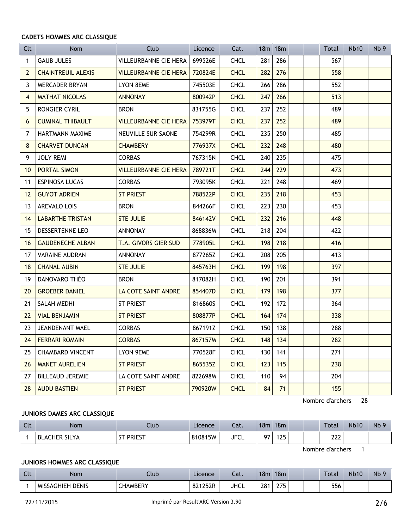#### **CADETS HOMMES ARC CLASSIQUE**

| Clt            | <b>Nom</b>                | Club                         | Licence | Cat.        |     | 18m 18m |  | Total | <b>Nb10</b> | Nb <sub>9</sub> |
|----------------|---------------------------|------------------------------|---------|-------------|-----|---------|--|-------|-------------|-----------------|
| 1              | <b>GAUB JULES</b>         | <b>VILLEURBANNE CIE HERA</b> | 699526E | <b>CHCL</b> | 281 | 286     |  | 567   |             |                 |
| $\overline{2}$ | <b>CHAINTREUIL ALEXIS</b> | VILLEURBANNE CIE HERA        | 720824E | <b>CHCL</b> | 282 | 276     |  | 558   |             |                 |
| 3              | MERCADER BRYAN            | LYON 8EME                    | 745503E | <b>CHCL</b> | 266 | 286     |  | 552   |             |                 |
| $\overline{4}$ | <b>MATHAT NICOLAS</b>     | <b>ANNONAY</b>               | 800942P | <b>CHCL</b> | 247 | 266     |  | 513   |             |                 |
| 5              | RONGIER CYRIL             | <b>BRON</b>                  | 831755G | <b>CHCL</b> | 237 | 252     |  | 489   |             |                 |
| 6              | <b>CUMINAL THIBAULT</b>   | <b>VILLEURBANNE CIE HERA</b> | 753979T | <b>CHCL</b> | 237 | 252     |  | 489   |             |                 |
| 7              | HARTMANN MAXIME           | NEUVILLE SUR SAONE           | 754299R | <b>CHCL</b> | 235 | 250     |  | 485   |             |                 |
| 8              | <b>CHARVET DUNCAN</b>     | <b>CHAMBERY</b>              | 776937X | <b>CHCL</b> | 232 | 248     |  | 480   |             |                 |
| 9              | <b>JOLY REMI</b>          | <b>CORBAS</b>                | 767315N | <b>CHCL</b> | 240 | 235     |  | 475   |             |                 |
| 10             | PORTAL SIMON              | <b>VILLEURBANNE CIE HERA</b> | 789721T | <b>CHCL</b> | 244 | 229     |  | 473   |             |                 |
| 11             | <b>ESPINOSA LUCAS</b>     | <b>CORBAS</b>                | 793095K | <b>CHCL</b> | 221 | 248     |  | 469   |             |                 |
| 12             | <b>GUYOT ADRIEN</b>       | <b>ST PRIEST</b>             | 788522P | <b>CHCL</b> | 235 | 218     |  | 453   |             |                 |
| 13             | AREVALO LOIS              | <b>BRON</b>                  | 844266F | <b>CHCL</b> | 223 | 230     |  | 453   |             |                 |
| 14             | <b>LABARTHE TRISTAN</b>   | <b>STE JULIE</b>             | 846142V | <b>CHCL</b> | 232 | 216     |  | 448   |             |                 |
| 15             | DESSERTENNE LEO           | ANNONAY                      | 868836M | <b>CHCL</b> | 218 | 204     |  | 422   |             |                 |
| 16             | <b>GAUDENECHE ALBAN</b>   | T.A. GIVORS GIER SUD         | 778905L | <b>CHCL</b> | 198 | 218     |  | 416   |             |                 |
| 17             | <b>VARAINE AUDRAN</b>     | <b>ANNONAY</b>               | 877265Z | <b>CHCL</b> | 208 | 205     |  | 413   |             |                 |
| 18             | <b>CHANAL AUBIN</b>       | <b>STE JULIE</b>             | 845763H | <b>CHCL</b> | 199 | 198     |  | 397   |             |                 |
| 19             | DANOVARO THÉO             | <b>BRON</b>                  | 817082H | <b>CHCL</b> | 190 | 201     |  | 391   |             |                 |
| 20             | <b>GROEBER DANIEL</b>     | LA COTE SAINT ANDRE          | 854407D | <b>CHCL</b> | 179 | 198     |  | 377   |             |                 |
| 21             | SALAH MEDHI               | ST PRIEST                    | 816860S | <b>CHCL</b> | 192 | 172     |  | 364   |             |                 |
| 22             | <b>VIAL BENJAMIN</b>      | <b>ST PRIEST</b>             | 808877P | <b>CHCL</b> | 164 | 174     |  | 338   |             |                 |
| 23             | JEANDENANT MAEL           | <b>CORBAS</b>                | 867191Z | <b>CHCL</b> | 150 | 138     |  | 288   |             |                 |
| 24             | <b>FERRARI ROMAIN</b>     | <b>CORBAS</b>                | 867157M | <b>CHCL</b> | 148 | 134     |  | 282   |             |                 |
| 25             | <b>CHAMBARD VINCENT</b>   | LYON 9EME                    | 770528F | <b>CHCL</b> | 130 | 141     |  | 271   |             |                 |
| 26             | <b>MANET AURELIEN</b>     | <b>ST PRIEST</b>             | 865535Z | <b>CHCL</b> | 123 | 115     |  | 238   |             |                 |
| 27             | <b>BILLEAUD JEREMIE</b>   | LA COTE SAINT ANDRE          | 822698M | <b>CHCL</b> | 110 | 94      |  | 204   |             |                 |
| 28             | <b>AUDU BASTIEN</b>       | <b>ST PRIEST</b>             | 790920W | <b>CHCL</b> | 84  | 71      |  | 155   |             |                 |

Nombre d'archers 28

# **JUNIORS DAMES ARC CLASSIQUE**

| Clt | <b>Nom</b>           | Club                       | Licence | - - -<br>cal. | 18m | 18m      |  | <b>Total</b> | <b>Nb10</b> | Nb <sub>5</sub> |
|-----|----------------------|----------------------------|---------|---------------|-----|----------|--|--------------|-------------|-----------------|
|     | <b>BLACHER SILYA</b> | <b>PRIEST</b><br>--<br>ו כ | 810815W | <b>JFCL</b>   | 07  | 1つに<br>. |  | าาา<br>LLL   |             |                 |

Nombre d'archers 1

# **JUNIORS HOMMES ARC CLASSIQUE**

| $\sim$<br>. . | Nom                        | Club            | Licence | Cat.        | 18 <sub>m</sub> | 18 <sub>m</sub> |  | <b>Total</b> | <b>Nb10</b> | Nb <sub>9</sub> |
|---------------|----------------------------|-----------------|---------|-------------|-----------------|-----------------|--|--------------|-------------|-----------------|
|               | <b>DENIS</b><br>MISSAGHIEH | <b>CHAMBERY</b> | 821252R | <b>JHCL</b> | 281<br>__       | つフト<br>ـ ا ـا   |  | 556          |             |                 |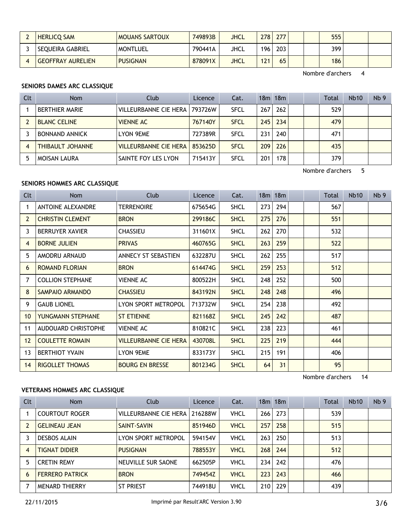| <b>HERLICO SAM</b>       | <b>MOUANS SARTOUX</b> | 749893B | <b>JHCL</b> | 278 | 277 | 555 |  |
|--------------------------|-----------------------|---------|-------------|-----|-----|-----|--|
| SEOUEIRA GABRIEL         | <b>MONTLUEL</b>       | 790441A | JHCL        | 196 | 203 | 399 |  |
| <b>GEOFFRAY AURELIEN</b> | <b>PUSIGNAN</b>       | 878091X | <b>JHCL</b> | 121 | 65  | 186 |  |

Nombre d'archers 4

# **SENIORS DAMES ARC CLASSIQUE**

| Clt | <b>Nom</b>              | Club                         | Licence | Cat.        |     | 18m 18m |  | Total | <b>Nb10</b> | Nb <sub>9</sub> |
|-----|-------------------------|------------------------------|---------|-------------|-----|---------|--|-------|-------------|-----------------|
|     | <b>BERTHIER MARIE</b>   | VILLEURBANNE CIE HERA        | 793726W | <b>SFCL</b> | 267 | 262     |  | 529   |             |                 |
|     | <b>BLANC CELINE</b>     | <b>VIENNE AC</b>             | 767140Y | <b>SFCL</b> | 245 | 234     |  | 479   |             |                 |
|     | <b>BONNAND ANNICK</b>   | LYON 9EME                    | 727389R | <b>SFCL</b> | 231 | 240     |  | 471   |             |                 |
| 4   | <b>THIBAULT JOHANNE</b> | <b>VILLEURBANNE CIE HERA</b> | 853625D | <b>SFCL</b> | 209 | 226     |  | 435   |             |                 |
|     | <b>MOISAN LAURA</b>     | SAINTE FOY LES LYON          | 715413Y | <b>SFCL</b> | 201 | 178     |  | 379   |             |                 |

Nombre d'archers 5

# **SENIORS HOMMES ARC CLASSIQUE**

| Clt             | Nom                      | Club                         | Licence | Cat.        |     | $18m$ 18 $m$ |  | Total | <b>Nb10</b> | Nb <sub>9</sub> |
|-----------------|--------------------------|------------------------------|---------|-------------|-----|--------------|--|-------|-------------|-----------------|
| 1               | <b>ANTOINE ALEXANDRE</b> | <b>TERRENOIRE</b>            | 675654G | SHCL        | 273 | 294          |  | 567   |             |                 |
| 2               | <b>CHRISTIN CLEMENT</b>  | <b>BRON</b>                  | 299186C | <b>SHCL</b> | 275 | 276          |  | 551   |             |                 |
| 3               | <b>BERRUYER XAVIER</b>   | <b>CHASSIEU</b>              | 311601X | SHCL        | 262 | 270          |  | 532   |             |                 |
| 4               | <b>BORNE JULIEN</b>      | <b>PRIVAS</b>                | 460765G | <b>SHCL</b> | 263 | 259          |  | 522   |             |                 |
| 5               | AMODRU ARNAUD            | ANNECY ST SEBASTIEN          | 632287U | SHCL        | 262 | 255          |  | 517   |             |                 |
| 6               | <b>ROMAND FLORIAN</b>    | <b>BRON</b>                  | 614474G | <b>SHCL</b> | 259 | 253          |  | 512   |             |                 |
| 7               | <b>COLLION STEPHANE</b>  | <b>VIENNE AC</b>             | 800522H | SHCL        | 248 | 252          |  | 500   |             |                 |
| 8               | SAMPAIO ARMANDO          | <b>CHASSIEU</b>              | 843192N | <b>SHCL</b> | 248 | 248          |  | 496   |             |                 |
| 9               | <b>GAUB LIONEL</b>       | LYON SPORT METROPOL          | 713732W | <b>SHCL</b> | 254 | 238          |  | 492   |             |                 |
| 10 <sup>°</sup> | YUNGMANN STEPHANE        | <b>ST ETIENNE</b>            | 821168Z | <b>SHCL</b> | 245 | 242          |  | 487   |             |                 |
| 11              | AUDOUARD CHRISTOPHE      | <b>VIENNE AC</b>             | 810821C | <b>SHCL</b> | 238 | 223          |  | 461   |             |                 |
| 12 <sup>2</sup> | <b>COULETTE ROMAIN</b>   | <b>VILLEURBANNE CIE HERA</b> | 430708L | <b>SHCL</b> | 225 | 219          |  | 444   |             |                 |
| 13              | <b>BERTHIOT YVAIN</b>    | LYON 9EME                    | 833173Y | <b>SHCL</b> | 215 | 191          |  | 406   |             |                 |
| 14              | <b>RIGOLLET THOMAS</b>   | <b>BOURG EN BRESSE</b>       | 801234G | <b>SHCL</b> | 64  | 31           |  | 95    |             |                 |

Nombre d'archers 14

# **VETERANS HOMMES ARC CLASSIQUE**

| Clt | Nom                    | Club                  | Licence | Cat.        |     | $18m$ 18 $m$ |  | <b>Total</b> | <b>Nb10</b> | Nb <sub>9</sub> |
|-----|------------------------|-----------------------|---------|-------------|-----|--------------|--|--------------|-------------|-----------------|
|     | <b>COURTOUT ROGER</b>  | VILLEURBANNE CIE HERA | 216288W | <b>VHCL</b> | 266 | 273          |  | 539          |             |                 |
|     | <b>GELINEAU JEAN</b>   | <b>SAINT-SAVIN</b>    | 851946D | <b>VHCL</b> | 257 | 258          |  | 515          |             |                 |
|     | <b>DESBOS ALAIN</b>    | LYON SPORT METROPOL   | 594154V | VHCL        | 263 | 250          |  | 513          |             |                 |
| 4   | <b>TIGNAT DIDIER</b>   | <b>PUSIGNAN</b>       | 788553Y | <b>VHCL</b> | 268 | 244          |  | 512          |             |                 |
| 5   | <b>CRETIN REMY</b>     | NEUVILLE SUR SAONE    | 662505P | <b>VHCL</b> | 234 | 242          |  | 476          |             |                 |
| 6   | <b>FERRERO PATRICK</b> | <b>BRON</b>           | 749454Z | <b>VHCL</b> | 223 | 243          |  | 466          |             |                 |
|     | <b>MENARD THIERRY</b>  | <b>ST PRIEST</b>      | 744918U | VHCL        | 210 | 229          |  | 439          |             |                 |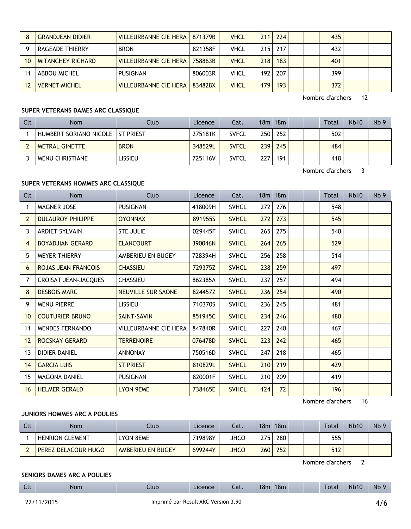|    | <b>GRANDJEAN DIDIER</b>  | <b>VILLEURBANNE CIE HERA</b> | 871379B | <b>VHCL</b> | 211              | 224       |  | 435 |  |
|----|--------------------------|------------------------------|---------|-------------|------------------|-----------|--|-----|--|
|    | RAGEADE THIERRY          | <b>BRON</b>                  | 821358F | <b>VHCL</b> |                  | $215$ 217 |  | 432 |  |
| 10 | <b>MITANCHEY RICHARD</b> | <b>VILLEURBANNE CIE HERA</b> | 758863B | <b>VHCL</b> | 218              | 183       |  | 401 |  |
|    | <b>ABBOU MICHEL</b>      | PUSIGNAN                     | 806003R | VHCL        | 192              | 207       |  | 399 |  |
|    | <b>VERNET MICHEL</b>     | <b>VILLEURBANNE CIE HERA</b> | 834828X | <b>VHCL</b> | 179 <sub>1</sub> | 193       |  | 372 |  |

Nombre d'archers 12

# **SUPER VETERANS DAMES ARC CLASSIQUE**

| Clt | <b>Nom</b>                        | Club        | Licence | Cat.         |     | 18m 18m |  | Total | <b>Nb10</b> | Nb <sub>9</sub> |
|-----|-----------------------------------|-------------|---------|--------------|-----|---------|--|-------|-------------|-----------------|
|     | HUMBERT SORIANO NICOLE IST PRIEST |             | 275181K | <b>SVFCL</b> | 250 | 252     |  | 502   |             |                 |
|     | METRAL GINETTE                    | <b>BRON</b> | 348529L | <b>SVFCL</b> | 239 | 245     |  | 484   |             |                 |
|     | <b>MENU CHRISTIANE</b>            | _ISSIEU     | 725116V | <b>SVFCL</b> | 227 | 191     |  | 418   |             |                 |

Nombre d'archers 3

# **SUPER VETERANS HOMMES ARC CLASSIQUE**

| Clt             | Nom                        | Club                      | Licence | Cat.         |     | 18m 18m |  | Total | <b>Nb10</b> | Nb <sub>9</sub> |
|-----------------|----------------------------|---------------------------|---------|--------------|-----|---------|--|-------|-------------|-----------------|
| 1               | <b>MAGNER JOSE</b>         | <b>PUSIGNAN</b>           | 418009H | <b>SVHCL</b> | 272 | 276     |  | 548   |             |                 |
| $\overline{2}$  | <b>DULAUROY PHILIPPE</b>   | <b>OYONNAX</b>            | 891955S | <b>SVHCL</b> | 272 | 273     |  | 545   |             |                 |
| 3               | <b>ARDIET SYLVAIN</b>      | STE JULIE                 | 029445F | <b>SVHCL</b> | 265 | 275     |  | 540   |             |                 |
| 4               | <b>BOYADJIAN GERARD</b>    | <b>ELANCOURT</b>          | 390046N | <b>SVHCL</b> | 264 | 265     |  | 529   |             |                 |
| 5               | MEYER THIERRY              | AMBERIEU EN BUGEY         | 728394H | <b>SVHCL</b> | 256 | 258     |  | 514   |             |                 |
| 6               | <b>ROJAS JEAN FRANCOIS</b> | <b>CHASSIEU</b>           | 729375Z | <b>SVHCL</b> | 238 | 259     |  | 497   |             |                 |
| 7               | CROISAT JEAN-JACQUES       | <b>CHASSIEU</b>           | 862385A | <b>SVHCL</b> | 237 | 257     |  | 494   |             |                 |
| 8               | <b>DESBOIS MARC</b>        | <b>NEUVILLE SUR SAONE</b> | 824457Z | <b>SVHCL</b> | 236 | 254     |  | 490   |             |                 |
| 9               | <b>MENU PIERRE</b>         | <b>LISSIEU</b>            | 710370S | <b>SVHCL</b> | 236 | 245     |  | 481   |             |                 |
| 10 <sup>°</sup> | <b>COUTURIER BRUNO</b>     | SAINT-SAVIN               | 851945C | <b>SVHCL</b> | 234 | 246     |  | 480   |             |                 |
| 11              | <b>MENDES FERNANDO</b>     | VILLEURBANNE CIE HERA     | 847840R | <b>SVHCL</b> | 227 | 240     |  | 467   |             |                 |
| 12              | ROCSKAY GERARD             | <b>TERRENOIRE</b>         | 076478D | <b>SVHCL</b> | 223 | 242     |  | 465   |             |                 |
| 13              | <b>DIDIER DANIEL</b>       | ANNONAY                   | 750516D | <b>SVHCL</b> | 247 | 218     |  | 465   |             |                 |
| 14              | <b>GARCIA LUIS</b>         | <b>ST PRIEST</b>          | 810829L | <b>SVHCL</b> | 210 | 219     |  | 429   |             |                 |
| 15              | <b>MAGONA DANIEL</b>       | PUSIGNAN                  | 820001F | <b>SVHCL</b> | 210 | 209     |  | 419   |             |                 |
| 16              | <b>HELMER GERALD</b>       | <b>LYON 9EME</b>          | 738465E | <b>SVHCL</b> | 124 | 72      |  | 196   |             |                 |

Nombre d'archers 16

# **JUNIORS HOMMES ARC A POULIES**

| Clt | Nom                    | Club.             | Licence | Cat.        | 18m | 18m |  | Total | <b>Nb10</b> | Nb <sub>9</sub> |
|-----|------------------------|-------------------|---------|-------------|-----|-----|--|-------|-------------|-----------------|
|     | <b>HENRION CLEMENT</b> | <b>LYON 8EME</b>  | 719898Y | JHCO        | 275 | 280 |  | 555   |             |                 |
|     | PEREZ DELACOUR HUGO    | AMBERIEU EN BUGEY | 699244Y | <b>JHCO</b> | 260 | 252 |  | 512   |             |                 |

Nombre d'archers 2

#### **SENIORS DAMES ARC A POULIES**

| $\mathsf{C}$<br>しいし | <b>Nom</b> | Llub | Licence | Lat. | 18m | 18m | <b>Total</b> | <b>Nb10</b> | <b>Nb</b><br>-- |
|---------------------|------------|------|---------|------|-----|-----|--------------|-------------|-----------------|
|                     |            |      |         |      |     |     |              |             |                 |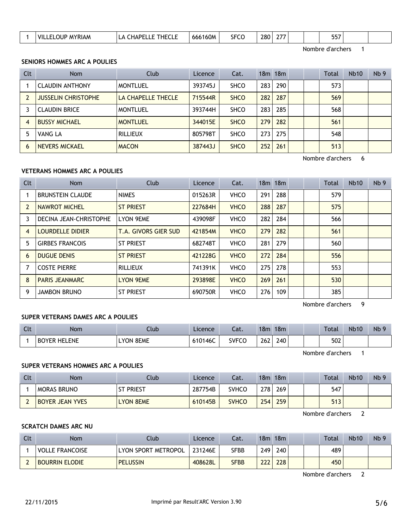| ---<br>----<br>160M<br>280.<br>----<br>VIL.<br>$\overline{\phantom{a}}$<br>. DF<br>JUE.<br>666<br>$\Delta$<br><b>SLCO</b><br><b>YKIAN</b><br>יע<br>JJ1<br>∼–<br>$ -$<br>__ |  |
|----------------------------------------------------------------------------------------------------------------------------------------------------------------------------|--|
|----------------------------------------------------------------------------------------------------------------------------------------------------------------------------|--|

Nombre d'archers 1

# **SENIORS HOMMES ARC A POULIES**

| Clt            | <b>Nom</b>                 | Club               | Licence | Cat.        |     | $18m$ 18 $m$ |  | Total | <b>Nb10</b> | Nb <sub>9</sub> |
|----------------|----------------------------|--------------------|---------|-------------|-----|--------------|--|-------|-------------|-----------------|
|                | <b>CLAUDIN ANTHONY</b>     | <b>MONTLUEL</b>    | 393745J | <b>SHCO</b> | 283 | 290          |  | 573   |             |                 |
| $\overline{2}$ | <b>JUSSELIN CHRISTOPHE</b> | LA CHAPELLE THECLE | 715544R | <b>SHCO</b> | 282 | 287          |  | 569   |             |                 |
|                | <b>CLAUDIN BRICE</b>       | <b>MONTLUEL</b>    | 393744H | <b>SHCO</b> | 283 | 285          |  | 568   |             |                 |
| 4              | <b>BUSSY MICHAEL</b>       | <b>MONTLUEL</b>    | 344015E | <b>SHCO</b> | 279 | 282          |  | 561   |             |                 |
| 5              | VANG LA                    | <b>RILLIEUX</b>    | 805798T | <b>SHCO</b> | 273 | 275          |  | 548   |             |                 |
| 6              | <b>NEVERS MICKAEL</b>      | <b>MACON</b>       | 387443J | <b>SHCO</b> | 252 | 261          |  | 513   |             |                 |

Nombre d'archers 6

# **VETERANS HOMMES ARC A POULIES**

| <b>Clt</b> | <b>Nom</b>              | Club                 | Licence | Cat.        |     | $18m$ 18 $m$ |  | Total | <b>Nb10</b> | Nb <sub>9</sub> |
|------------|-------------------------|----------------------|---------|-------------|-----|--------------|--|-------|-------------|-----------------|
|            | <b>BRUNSTEIN CLAUDE</b> | <b>NIMES</b>         | 015263R | <b>VHCO</b> | 291 | 288          |  | 579   |             |                 |
|            | NAWROT MICHEL           | <b>ST PRIEST</b>     | 227684H | <b>VHCO</b> | 288 | 287          |  | 575   |             |                 |
| 3          | DECINA JEAN-CHRISTOPHE  | <b>LYON 9EME</b>     | 439098F | <b>VHCO</b> | 282 | 284          |  | 566   |             |                 |
| 4          | LOURDELLE DIDIER        | T.A. GIVORS GIER SUD | 421854M | <b>VHCO</b> | 279 | 282          |  | 561   |             |                 |
| 5          | <b>GIRBES FRANCOIS</b>  | <b>ST PRIEST</b>     | 682748T | <b>VHCO</b> | 281 | 279          |  | 560   |             |                 |
| 6          | <b>DUGUE DENIS</b>      | <b>ST PRIEST</b>     | 421228G | <b>VHCO</b> | 272 | 284          |  | 556   |             |                 |
|            | <b>COSTE PIERRE</b>     | <b>RILLIEUX</b>      | 741391K | <b>VHCO</b> | 275 | 278          |  | 553   |             |                 |
| 8          | <b>PARIS JEANMARC</b>   | <b>LYON 9EME</b>     | 293898E | <b>VHCO</b> | 269 | 261          |  | 530   |             |                 |
| 9          | <b>JAMBON BRUNO</b>     | <b>ST PRIEST</b>     | 690750R | <b>VHCO</b> | 276 | 109          |  | 385   |             |                 |

Nombre d'archers 9

# **SUPER VETERANS DAMES ARC A POULIES**

| <b>Clt</b> | <b>Nom</b>             | Llub.               | Licence | - 1<br>cal.  | 18m | 18 <sub>m</sub> |  | <b>Total</b> | <b>Nb10</b> | <b>Nb</b> |
|------------|------------------------|---------------------|---------|--------------|-----|-----------------|--|--------------|-------------|-----------|
|            | <b>BOYER</b><br>HELENE | 8EME<br><b>LYON</b> | 610146C | <b>SVFCO</b> | 262 | 240             |  | 502          |             |           |

Nombre d'archers 1

# **SUPER VETERANS HOMMES ARC A POULIES**

| Clt | Nom                    | Club :           | Licence | Cat.         |     | $18m$ 18 $m$ |  | Total | <b>Nb10</b> | Nb <sub>9</sub> |
|-----|------------------------|------------------|---------|--------------|-----|--------------|--|-------|-------------|-----------------|
|     | <b>MORAS BRUNO</b>     | ' Priest         | 287754B | <b>SVHCO</b> | 278 | 269          |  | 547   |             |                 |
|     | <b>BOYER JEAN YVES</b> | <b>LYON 8EME</b> | 610145B | <b>SVHCO</b> | 254 | 259          |  | 513   |             |                 |

Nombre d'archers 2

# **SCRATCH DAMES ARC NU**

| Clt | Nom                    | Club                | Licence | Cat. | 18 <sub>m</sub> | 18m | <b>Total</b> | <b>Nb10</b> | Nb <sub>9</sub> |
|-----|------------------------|---------------------|---------|------|-----------------|-----|--------------|-------------|-----------------|
|     | <b>VOLLE FRANCOISE</b> | LYON SPORT METROPOL | 231246E | SFBB | 249             | 240 | 489          |             |                 |
|     | <b>BOURRIN ELODIE</b>  | <b>PELUSSIN</b>     | 408628L | SFBB | 222             | 228 | 450          |             |                 |

Nombre d'archers 2